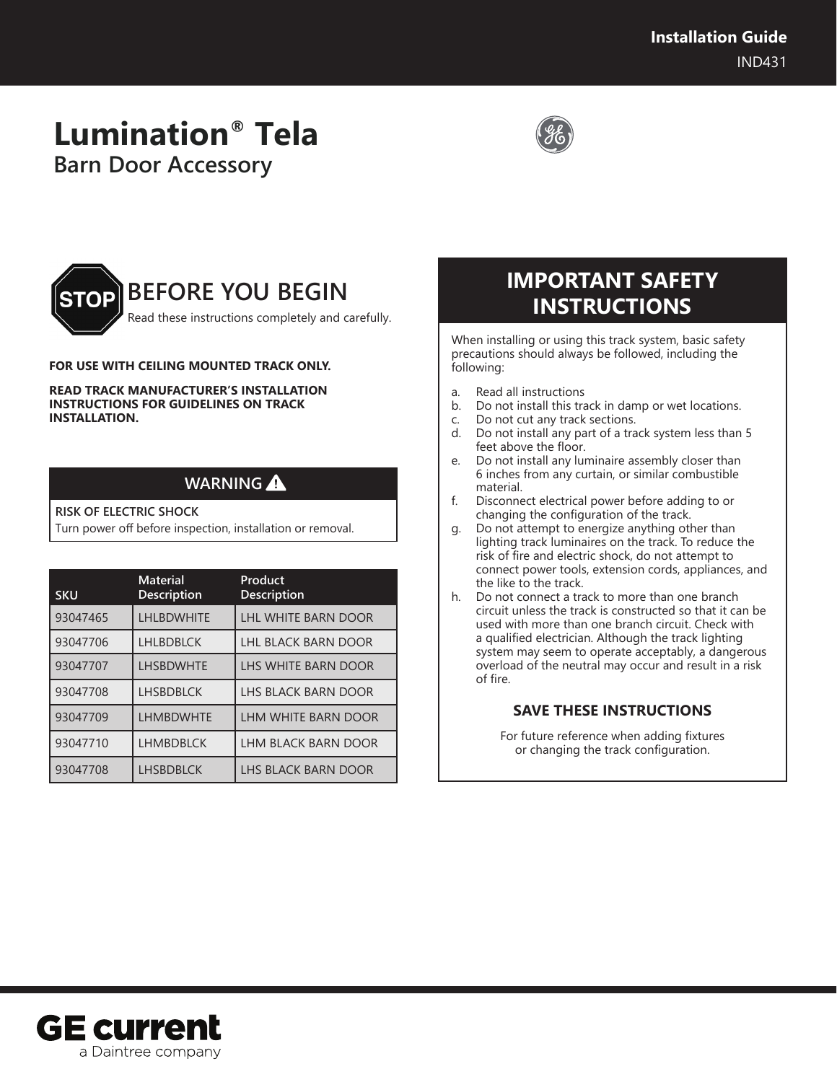# **Lumination® Tela Barn Door Accessory**





#### **FOR USE WITH CEILING MOUNTED TRACK ONLY.**

**READ TRACK MANUFACTURER'S INSTALLATION INSTRUCTIONS FOR GUIDELINES ON TRACK INSTALLATION.**

### **WARNING**

#### **RISK OF ELECTRIC SHOCK**

Turn power off before inspection, installation or removal.

| <b>SKU</b> | <b>Material</b><br><b>Description</b> | Product<br><b>Description</b> |
|------------|---------------------------------------|-------------------------------|
| 93047465   | <b>LHLBDWHITE</b>                     | <b>LHL WHITE BARN DOOR</b>    |
| 93047706   | <b>LHLBDBLCK</b>                      | <b>LHL BLACK BARN DOOR</b>    |
| 93047707   | <b>LHSBDWHTE</b>                      | LHS WHITE BARN DOOR           |
| 93047708   | <b>LHSBDBLCK</b>                      | LHS BLACK BARN DOOR           |
| 93047709   | <b>LHMBDWHTE</b>                      | LHM WHITE BARN DOOR           |
| 93047710   | <b>LHMBDBLCK</b>                      | <b>LHM BLACK BARN DOOR</b>    |
| 93047708   | <b>LHSBDBLCK</b>                      | LHS BLACK BARN DOOR           |

## **IMPORTANT SAFETY INSTRUCTIONS**

When installing or using this track system, basic safety precautions should always be followed, including the following:

- a. Read all instructions
- b. Do not install this track in damp or wet locations.
- c. Do not cut any track sections.
- d. Do not install any part of a track system less than 5 feet above the floor.
- e. Do not install any luminaire assembly closer than 6 inches from any curtain, or similar combustible material.
- f. Disconnect electrical power before adding to or changing the configuration of the track.
- g. Do not attempt to energize anything other than lighting track luminaires on the track. To reduce the risk of fire and electric shock, do not attempt to connect power tools, extension cords, appliances, and the like to the track.
- h. Do not connect a track to more than one branch circuit unless the track is constructed so that it can be used with more than one branch circuit. Check with a qualified electrician. Although the track lighting system may seem to operate acceptably, a dangerous overload of the neutral may occur and result in a risk of fire.

### **SAVE THESE INSTRUCTIONS**

For future reference when adding fixtures or changing the track configuration.